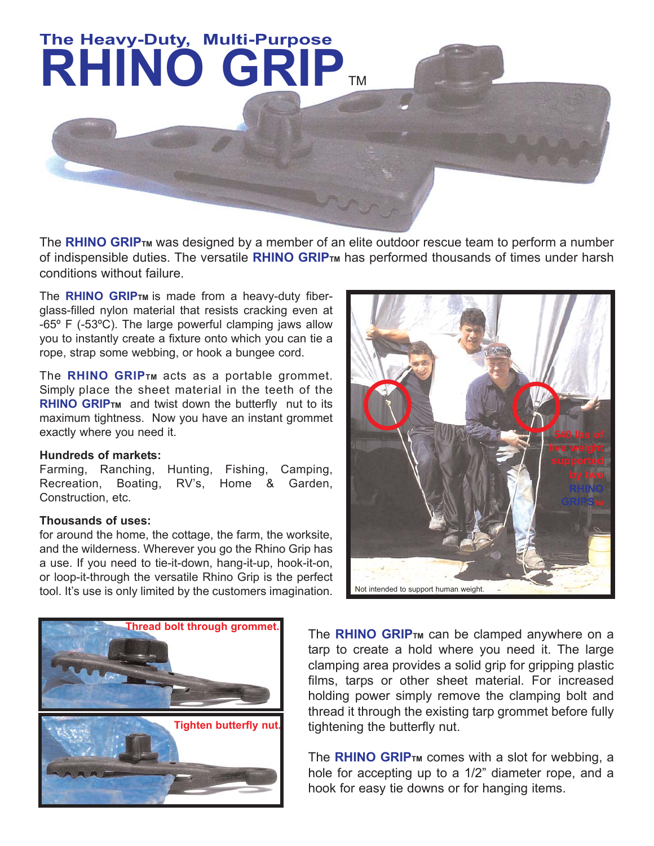

The **RHINO GRIP**<sub>TM</sub> was designed by a member of an elite outdoor rescue team to perform a number of indispensible duties. The versatile **RHINO GRIP<sub>TM</sub>** has performed thousands of times under harsh conditions without failure.

The **RHINO GRIPTM** is made from a heavy-duty fiberglass-filled nylon material that resists cracking even at -65º F (-53ºC). The large powerful clamping jaws allow you to instantly create a fixture onto which you can tie a rope, strap some webbing, or hook a bungee cord.

The **RHINO GRIPTM** acts as a portable grommet. Simply place the sheet material in the teeth of the **RHINO GRIPTM** and twist down the butterfly nut to its maximum tightness. Now you have an instant grommet exactly where you need it.

## **Hundreds of markets:**

Farming, Ranching, Hunting, Fishing, Camping, Recreation, Boating, RV's, Home & Garden, Construction, etc.

## **Thousands of uses:**

for around the home, the cottage, the farm, the worksite, and the wilderness. Wherever you go the Rhino Grip has a use. If you need to tie-it-down, hang-it-up, hook-it-on, or loop-it-through the versatile Rhino Grip is the perfect tool. It's use is only limited by the customers imagination.





The **RHINO GRIPTM** can be clamped anywhere on a tarp to create a hold where you need it. The large clamping area provides a solid grip for gripping plastic films, tarps or other sheet material. For increased holding power simply remove the clamping bolt and thread it through the existing tarp grommet before fully tightening the butterfly nut.

The **RHINO GRIPTM** comes with a slot for webbing, a hole for accepting up to a 1/2" diameter rope, and a hook for easy tie downs or for hanging items.